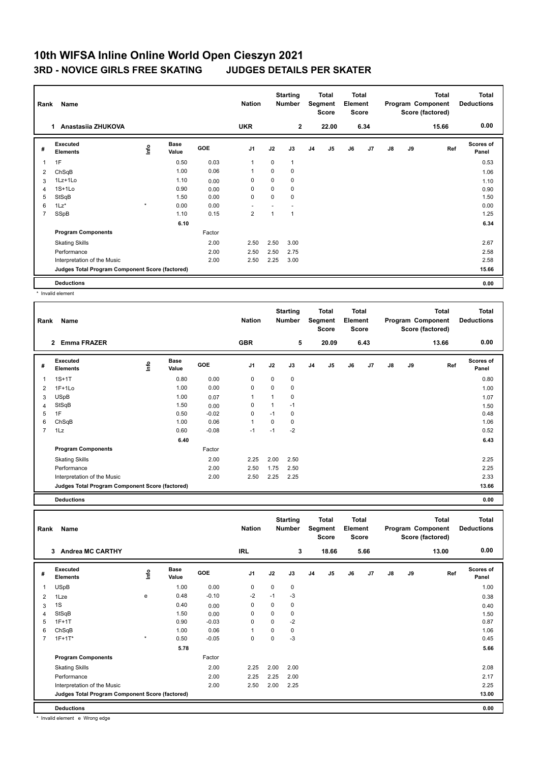## **10th WIFSA Inline Online World Open Cieszyn 2021 3RD - NOVICE GIRLS FREE SKATING JUDGES DETAILS PER SKATER**

| Name<br>Rank   |                                                 |         |                      |            | <b>Nation</b>  |             | <b>Starting</b><br>Total<br><b>Number</b><br>Segment<br><b>Score</b> |                | <b>Total</b><br>Element<br><b>Score</b> |    |                |    | <b>Total</b><br>Program Component<br>Score (factored) | <b>Total</b><br><b>Deductions</b> |                           |
|----------------|-------------------------------------------------|---------|----------------------|------------|----------------|-------------|----------------------------------------------------------------------|----------------|-----------------------------------------|----|----------------|----|-------------------------------------------------------|-----------------------------------|---------------------------|
|                | Anastasija ZHUKOVA<br>1.                        |         |                      |            | <b>UKR</b>     |             | $\overline{2}$                                                       |                | 22.00                                   |    | 6.34           |    |                                                       | 15.66                             | 0.00                      |
| #              | Executed<br><b>Elements</b>                     | ١nf٥    | <b>Base</b><br>Value | <b>GOE</b> | J <sub>1</sub> | J2          | J3                                                                   | J <sub>4</sub> | J <sub>5</sub>                          | J6 | J <sub>7</sub> | J8 | J9                                                    | Ref                               | <b>Scores of</b><br>Panel |
| 1              | 1F                                              |         | 0.50                 | 0.03       | 1              | $\mathbf 0$ | $\overline{1}$                                                       |                |                                         |    |                |    |                                                       |                                   | 0.53                      |
| 2              | ChSqB                                           |         | 1.00                 | 0.06       | 1              | $\mathbf 0$ | 0                                                                    |                |                                         |    |                |    |                                                       |                                   | 1.06                      |
| 3              | 1Lz+1Lo                                         |         | 1.10                 | 0.00       | 0              | $\Omega$    | $\mathbf 0$                                                          |                |                                         |    |                |    |                                                       |                                   | 1.10                      |
| 4              | $1S+1Lo$                                        |         | 0.90                 | 0.00       | 0              | 0           | $\mathbf 0$                                                          |                |                                         |    |                |    |                                                       |                                   | 0.90                      |
| 5              | StSqB                                           |         | 1.50                 | 0.00       | 0              | 0           | 0                                                                    |                |                                         |    |                |    |                                                       |                                   | 1.50                      |
| 6              | $1\text{Lz}^*$                                  | $\star$ | 0.00                 | 0.00       |                |             |                                                                      |                |                                         |    |                |    |                                                       |                                   | 0.00                      |
| $\overline{7}$ | SSpB                                            |         | 1.10                 | 0.15       | $\overline{2}$ | 1           | 1                                                                    |                |                                         |    |                |    |                                                       |                                   | 1.25                      |
|                |                                                 |         | 6.10                 |            |                |             |                                                                      |                |                                         |    |                |    |                                                       |                                   | 6.34                      |
|                | <b>Program Components</b>                       |         |                      | Factor     |                |             |                                                                      |                |                                         |    |                |    |                                                       |                                   |                           |
|                | <b>Skating Skills</b>                           |         |                      | 2.00       | 2.50           | 2.50        | 3.00                                                                 |                |                                         |    |                |    |                                                       |                                   | 2.67                      |
|                | Performance                                     |         |                      | 2.00       | 2.50           | 2.50        | 2.75                                                                 |                |                                         |    |                |    |                                                       |                                   | 2.58                      |
|                | Interpretation of the Music                     |         |                      | 2.00       | 2.50           | 2.25        | 3.00                                                                 |                |                                         |    |                |    |                                                       |                                   | 2.58                      |
|                | Judges Total Program Component Score (factored) |         |                      |            |                |             |                                                                      |                |                                         |    |                |    |                                                       |                                   | 15.66                     |
|                | <b>Deductions</b>                               |         |                      |            |                |             |                                                                      |                |                                         |    |                |    |                                                       |                                   | 0.00                      |

\* Invalid element

| Rank           | Name                                            |             |                      |            | <b>Nation</b>  |          | <b>Starting</b><br>Number |                | Total<br>Segment<br><b>Score</b> | <b>Total</b><br>Element<br><b>Score</b> |      |               |    | <b>Total</b><br>Program Component<br>Score (factored) | <b>Total</b><br><b>Deductions</b> |
|----------------|-------------------------------------------------|-------------|----------------------|------------|----------------|----------|---------------------------|----------------|----------------------------------|-----------------------------------------|------|---------------|----|-------------------------------------------------------|-----------------------------------|
|                | <b>Emma FRAZER</b><br>$\overline{2}$            |             |                      |            | <b>GBR</b>     |          | 5                         |                | 20.09                            |                                         | 6.43 |               |    | 13.66                                                 | 0.00                              |
| #              | <b>Executed</b><br><b>Elements</b>              | <u>info</u> | <b>Base</b><br>Value | <b>GOE</b> | J <sub>1</sub> | J2       | J3                        | J <sub>4</sub> | J5                               | J6                                      | J7   | $\mathsf{J}8$ | J9 | Ref                                                   | Scores of<br>Panel                |
|                | $1S+1T$                                         |             | 0.80                 | 0.00       | 0              | 0        | $\mathbf 0$               |                |                                  |                                         |      |               |    |                                                       | 0.80                              |
| 2              | $1F+1Lo$                                        |             | 1.00                 | 0.00       | $\mathbf 0$    | $\Omega$ | 0                         |                |                                  |                                         |      |               |    |                                                       | 1.00                              |
| 3              | <b>USpB</b>                                     |             | 1.00                 | 0.07       | 1              | 1        | 0                         |                |                                  |                                         |      |               |    |                                                       | 1.07                              |
| 4              | StSqB                                           |             | 1.50                 | 0.00       | $\mathbf 0$    |          | $-1$                      |                |                                  |                                         |      |               |    |                                                       | 1.50                              |
| 5              | 1F                                              |             | 0.50                 | $-0.02$    | 0              | $-1$     | 0                         |                |                                  |                                         |      |               |    |                                                       | 0.48                              |
| 6              | ChSqB                                           |             | 1.00                 | 0.06       | $\overline{1}$ | $\Omega$ | 0                         |                |                                  |                                         |      |               |    |                                                       | 1.06                              |
| $\overline{7}$ | 1Lz                                             |             | 0.60                 | $-0.08$    | $-1$           | $-1$     | $-2$                      |                |                                  |                                         |      |               |    |                                                       | 0.52                              |
|                |                                                 |             | 6.40                 |            |                |          |                           |                |                                  |                                         |      |               |    |                                                       | 6.43                              |
|                | <b>Program Components</b>                       |             |                      | Factor     |                |          |                           |                |                                  |                                         |      |               |    |                                                       |                                   |
|                | <b>Skating Skills</b>                           |             |                      | 2.00       | 2.25           | 2.00     | 2.50                      |                |                                  |                                         |      |               |    |                                                       | 2.25                              |
|                | Performance                                     |             |                      | 2.00       | 2.50           | 1.75     | 2.50                      |                |                                  |                                         |      |               |    |                                                       | 2.25                              |
|                | Interpretation of the Music                     |             |                      | 2.00       | 2.50           | 2.25     | 2.25                      |                |                                  |                                         |      |               |    |                                                       | 2.33                              |
|                | Judges Total Program Component Score (factored) |             |                      |            |                |          |                           |                |                                  |                                         |      | 13.66         |    |                                                       |                                   |

**Deductions 0.00**

**Total Deductions Total Program Component Score (factored) Total Element Score Total Segment Score Starting Rank Name Nation Number # Executed Elements Base Value GOE J1 J2 J3 J4 J5 J6 J7 J8 J9 Scores of Panel** 1 1.00 0.00 0 0 0 **Ref**  USpB 1.00 **Info 3 Andrea MC CARTHY IRL 3 18.66 5.66 13.00 0.00** 2 1Lze e 0.48 -0.10 -2 -1 -3 0.38 3 1S 0.40 0.00 0 0 0 0.40 4 StSqB 1.50 0.00 0 0 0 1.50 5 1F+1T 0.90 -0.03 0 0 -2 0.87 6 ChSqB 1.00 0.06 1 0 0 1.06 7 1F+1T\* \* 0.50 -0.05 0 0 -3 0.45  **5.78 5.66 Program Components**  Skating Skills **2.00** 2.25 2.00 2.00 Factor 2.00 2.08 Performance 2.00 2.25 2.25 2.00 2.17 Interpretation of the Music 2.00 2.50 2.00 2.25 2.25 **Deductions 0.00 Judges Total Program Component Score (factored) 13.00**

\* Invalid element e Wrong edge